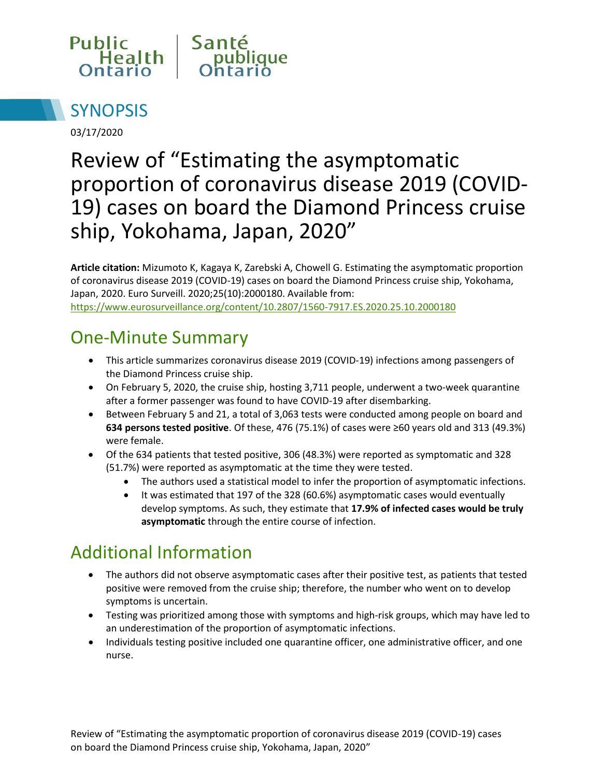



03/17/2020

# Review of "Estimating the asymptomatic proportion of coronavirus disease 2019 (COVID-19) cases on board the Diamond Princess cruise ship, Yokohama, Japan, 2020"

**Article citation:** Mizumoto K, Kagaya K, Zarebski A, Chowell G. Estimating the asymptomatic proportion of coronavirus disease 2019 (COVID-19) cases on board the Diamond Princess cruise ship, Yokohama, Japan, 2020. Euro Surveill. 2020;25(10):2000180. Available from: <https://www.eurosurveillance.org/content/10.2807/1560-7917.ES.2020.25.10.2000180>

# One-Minute Summary

- This article summarizes coronavirus disease 2019 (COVID-19) infections among passengers of the Diamond Princess cruise ship.
- On February 5, 2020, the cruise ship, hosting 3,711 people, underwent a two-week quarantine after a former passenger was found to have COVID-19 after disembarking.
- Between February 5 and 21, a total of 3,063 tests were conducted among people on board and **634 persons tested positive**. Of these, 476 (75.1%) of cases were ≥60 years old and 313 (49.3%) were female.
- Of the 634 patients that tested positive, 306 (48.3%) were reported as symptomatic and 328 (51.7%) were reported as asymptomatic at the time they were tested.
	- The authors used a statistical model to infer the proportion of asymptomatic infections.
	- It was estimated that 197 of the 328 (60.6%) asymptomatic cases would eventually develop symptoms. As such, they estimate that **17.9% of infected cases would be truly asymptomatic** through the entire course of infection.

# Additional Information

- The authors did not observe asymptomatic cases after their positive test, as patients that tested positive were removed from the cruise ship; therefore, the number who went on to develop symptoms is uncertain.
- Testing was prioritized among those with symptoms and high-risk groups, which may have led to an underestimation of the proportion of asymptomatic infections.
- Individuals testing positive included one quarantine officer, one administrative officer, and one nurse.